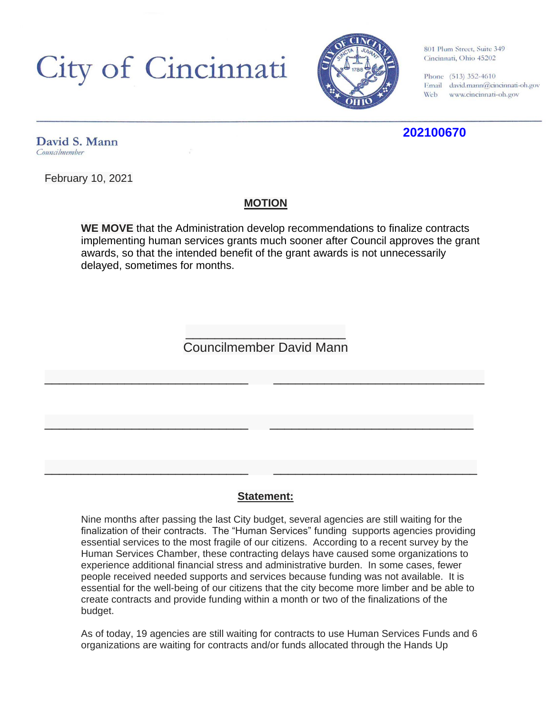## City of Cincinnati



801 Plum Street, Suite 349 Cincinnati, Ohio 45202

Phone (513) 352-4610 Email david.mann@cincinnati-oh.gov Web www.cincinnati-oh.gov

### **202100670**

David S. Mann Councilmember

February 10, 2021

### **MOTION**

**WE MOVE** that the Administration develop recommendations to finalize contracts implementing human services grants much sooner after Council approves the grant awards, so that the intended benefit of the grant awards is not unnecessarily delayed, sometimes for months.

> \_\_\_\_\_\_\_\_\_\_\_\_\_\_\_\_\_\_\_\_\_\_ Councilmember David Mann

\_\_\_\_\_\_\_\_\_\_\_\_\_\_\_\_\_\_\_\_\_\_\_\_\_\_\_\_ \_\_\_\_\_\_\_\_\_\_\_\_\_\_\_\_\_\_\_\_\_\_\_\_\_\_\_\_\_

\_\_\_\_\_\_\_\_\_\_\_\_\_\_\_\_\_\_\_\_\_\_\_\_\_\_\_\_ \_\_\_\_\_\_\_\_\_\_\_\_\_\_\_\_\_\_\_\_\_\_\_\_\_\_\_\_

#### **Statement:**

\_\_\_\_\_\_\_\_\_\_\_\_\_\_\_\_\_\_\_\_\_\_\_\_\_\_\_\_ \_\_\_\_\_\_\_\_\_\_\_\_\_\_\_\_\_\_\_\_\_\_\_\_\_\_\_\_

Nine months after passing the last City budget, several agencies are still waiting for the finalization of their contracts. The "Human Services" funding supports agencies providing essential services to the most fragile of our citizens. According to a recent survey by the Human Services Chamber, these contracting delays have caused some organizations to experience additional financial stress and administrative burden. In some cases, fewer people received needed supports and services because funding was not available. It is essential for the well-being of our citizens that the city become more limber and be able to create contracts and provide funding within a month or two of the finalizations of the budget.

As of today, 19 agencies are still waiting for contracts to use Human Services Funds and 6 organizations are waiting for contracts and/or funds allocated through the Hands Up